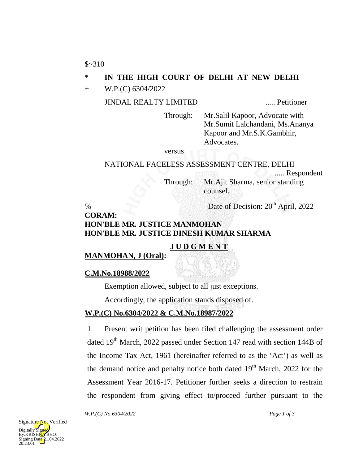## \* **IN THE HIGH COURT OF DELHI AT NEW DELHI**

+ W.P.(C) 6304/2022

JINDAL REALTY LIMITED ..... Petitioner

Through: Mr.Salil Kapoor, Advocate with Mr.Sumit Lalchandani, Ms.Ananya Kapoor and Mr.S.K.Gambhir, Advocates.

versus

# NATIONAL FACELESS ASSESSMENT CENTRE, DELHI ..... Respondent

Through: Mr.Ajit Sharma, senior standing counsel.

% Date of Decision:  $20<sup>th</sup>$  April, 2022

## **CORAM: HON'BLE MR. JUSTICE MANMOHAN HON'BLE MR. JUSTICE DINESH KUMAR SHARMA**

## **J U D G M E N T**

**MANMOHAN, J (Oral):**

## **C.M.No.18988/2022**

Exemption allowed, subject to all just exceptions.

Accordingly, the application stands disposed of.

## **W.P.(C) No.6304/2022 & C.M.No.18987/2022**

1. Present writ petition has been filed challenging the assessment order dated 19<sup>th</sup> March, 2022 passed under Section 147 read with section 144B of the Income Tax Act, 1961 (hereinafter referred to as the 'Act') as well as the demand notice and penalty notice both dated  $19<sup>th</sup>$  March, 2022 for the Assessment Year 2016-17. Petitioner further seeks a direction to restrain the respondent from giving effect to/proceed further pursuant to the

*W.P.(C) No.6304/2022 Page 1 of 3*

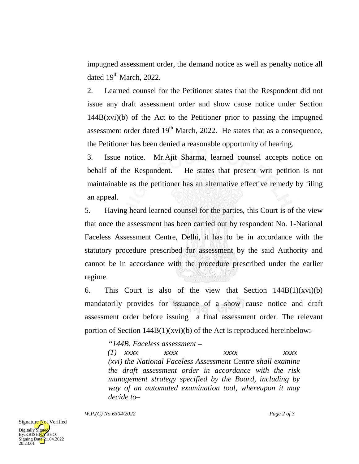impugned assessment order, the demand notice as well as penalty notice all dated  $19<sup>th</sup>$  March, 2022.

2. Learned counsel for the Petitioner states that the Respondent did not issue any draft assessment order and show cause notice under Section  $144B(xvi)(b)$  of the Act to the Petitioner prior to passing the impugned assessment order dated  $19<sup>th</sup>$  March, 2022. He states that as a consequence, the Petitioner has been denied a reasonable opportunity of hearing.

3. Issue notice. Mr.Ajit Sharma, learned counsel accepts notice on behalf of the Respondent. He states that present writ petition is not maintainable as the petitioner has an alternative effective remedy by filing an appeal.

5. Having heard learned counsel for the parties, this Court is of the view that once the assessment has been carried out by respondent No. 1-National Faceless Assessment Centre, Delhi, it has to be in accordance with the statutory procedure prescribed for assessment by the said Authority and cannot be in accordance with the procedure prescribed under the earlier regime.

6. This Court is also of the view that Section  $144B(1)(xvi)(b)$ mandatorily provides for issuance of a show cause notice and draft assessment order before issuing a final assessment order. The relevant portion of Section 144B(1)(xvi)(b) of the Act is reproduced hereinbelow:-

*"144B. Faceless assessment –*

*(1) xxxx xxxx xxxx xxxx (xvi) the National Faceless Assessment Centre shall examine the draft assessment order in accordance with the risk management strategy specified by the Board, including by way of an automated examination tool, whereupon it may decide to–*

*W.P.(C) No.6304/2022 Page 2 of 3*